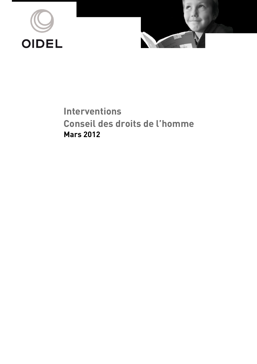



**Interventions Conseil des droits de l'homme Mars 2012**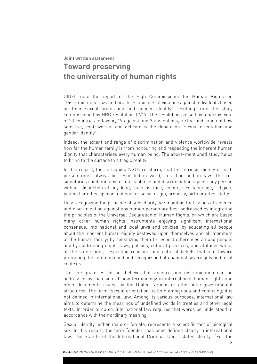# **Joint written statement Toward preserving the universality of human rights**

OIDEL note the report of the High Commissioner for Human Rights on "Discriminatory laws and practices and acts of violence against individuals based on their sexual orientation and gender identity" resulting from the study commissioned by HRC resolution 17/19. The resolution passed by a narrow vote of 23 countries in favour, 19 against and 3 abstentions, a clear indication of how sensitive, controversial and delicate is the debate on "sexual orientation and gender identity".

Indeed, the extent and range of discrimination and violence worldwide reveals how far the human family is from honouring and respecting the inherent human dignity that characterises every human being. The above-mentioned study helps to bring to the surface this tragic reality.

In this regard, the co-signing NGOs re-affirm, that the intrinsic dignity of each person must always be respected in word, in action and in law. The cosignatories condemn any form of violence and discrimination against any person without distinction of any kind, such as race, colour, sex, language, religion, political or other opinion, national or social origin, property, birth or other status.

Duly recognizing the principle of subsidiarity, we maintain that issues of violence and discrimination against any human person are best addressed by integrating the principles of the Universal Declaration of Human Rights, on which are based many other human rights instruments enjoying significant international consensus, into national and local laws and policies; by educating all people about the inherent human dignity bestowed upon themselves and all members of the human family; by sensitizing them to respect differences among people; and by confronting unjust laws, policies, cultural practices, and attitudes while, at the same time, respecting religious and cultural beliefs that aim toward promoting the common good and recognizing both national sovereignty and local contexts.

The co-signatories do not believe that violence and discrimination can be addressed by inclusion of new terminology in international human rights and other documents issued by the United Nations or other inter-governmental structures. The term "sexual orientation" is both ambiguous and confusing; it is not defined in international law. Among its various purposes, international law aims to determine the meanings of undefined words in treaties and other legal texts. In order to do so, international law requires that words be understood in accordance with their ordinary meaning.

Sexual identity, either male or female, represents a scientific fact of biological sex. In this regard, the term "gender" has been defined clearly in international law. The Statute of the International Criminal Court states clearly, "For the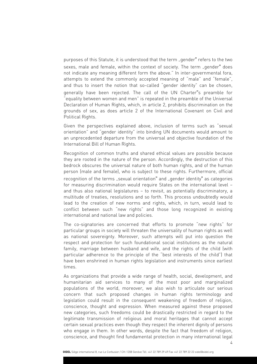purposes of this Statute, it is understood that the term "gender" refers to the two sexes, male and female, within the context of society. The term "gender" does not indicate any meaning different form the above." In inter-governmental fora, attempts to extend the commonly accepted meaning of "male" and "female", and thus to insert the notion that so-called "gender identity" can be chosen, generally have been rejected. The call of the UN Charter"s preamble for "equality between women and men" is repeated in the preamble of the Universal Declaration of Human Rights, which, in article 2, prohibits discrimination on the grounds of sex, as does article 2 of the International Covenant on Civil and Political Rights.

Given the perspectives explained above, inclusion of terms such as "sexual orientation" and "gender identity" into binding UN documents would amount to an unprecedented departure from the universal and objective foundation of the International Bill of Human Rights.

Recognition of common truths and shared ethical values are possible because they are rooted in the nature of the person. Accordingly, the destruction of this bedrock obscures the universal nature of both human rights, and of the human person (male and female), who is subject to these rights. Furthermore, official

recognition of the terms "sexual orientation" and "gender identity" as categories for measuring discrimination would require States on the international level – and thus also national legislatures – to revisit, as potentially discriminatory, a multitude of treaties, resolutions and so forth. This process undoubtedly would lead to the creation of new norms and rights, which, in turn, would lead to conflict between such "new rights" and those long recognized in existing international and national law and policies.

The co-signatories are concerned that efforts to promote "new rights" for particular groups in society will threaten the universality of human rights as well as national sovereignty. Moreover, such attempts will put into question the respect and protection for such foundational social institutions as the natural family, marriage between husband and wife, and the rights of the child (with particular adherence to the principle of the "best interests of the child") that have been enshrined in human rights legislation and instruments since earliest times.

As organizations that provide a wide range of health, social, development, and humanitarian aid services to many of the most poor and marginalized populations of the world, moreover, we also wish to articulate our serious concern that such proposed changes in human rights terminology and legislation could result in the consequent weakening of freedom of religion, conscience, thought and expression. When measured against these proposed new categories, such freedoms could be drastically restricted in regard to the legitimate transmission of religious and moral heritages that cannot accept certain sexual practices even though they respect the inherent dignity of persons who engage in them. In other words, despite the fact that freedom of religion, conscience, and thought find fundamental protection in many international legal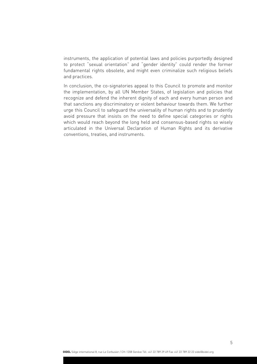instruments, the application of potential laws and policies purportedly designed to protect "sexual orientation" and "gender identity" could render the former fundamental rights obsolete, and might even criminalize such religious beliefs and practices.

In conclusion, the co-signatories appeal to this Council to promote and monitor the implementation, by all UN Member States, of legislation and policies that recognize and defend the inherent dignity of each and every human person and that sanctions any discriminatory or violent behaviour towards them. We further urge this Council to safeguard the universality of human rights and to prudently avoid pressure that insists on the need to define special categories or rights which would reach beyond the long held and consensus-based rights so wisely articulated in the Universal Declaration of Human Rights and its derivative conventions, treaties, and instruments.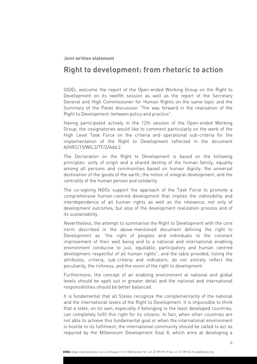#### **Joint written statement**

# **Right to development: from rhetoric to action**

OIDEL welcome the report of the Open-ended Working Group on the Right to Development on its twelfth session as well as the report of the Secretary General and High Commissioner for Human Rights on the same topic and the Summary of the Panel discussion "The way forward in the realisation of the Right to Development: between policy and practice".

Having participated actively in the 12th session of the Open-ended Working Group, the cosignatories would like to comment particularly on the work of the High Level Task Force on the criteria and operational sub-criteria for the implementation of the Right to Development reflected in the document A/HRC/15/WG.2/TF/2/Add.2.

The Declaration on the Right to Development is based on the following principles: unity of origin and a shared destiny of the human family; equality among all persons and communities based on human dignity; the universal destination of the goods of the earth; the notion of integral development; and the centrality of the human person and solidarity.

The co-signing NGOs support the approach of the Task Force to promote a comprehensive human-centred development that implies the indivisibility and interdependence of all human rights as well as the relevance, not only of development outcomes, but also of the development realization process and of its sustainability.

Nevertheless, the attempt to summarise the Right to Development with the core norm described in the above-mentioned document defining the right to Development as "the right of peoples and individuals to the constant improvement of their well being and to a national and international enabling environment conducive to just, equitable, participatory and human centred development respectful of all human rights", and the table provided, listing the attributes, criteria, sub-criteria and indicators, do not entirely reflect the peculiarity, the richness, and the vision of the right to development.

Furthermore, the concept of an enabling environment at national and global levels should be spelt out in greater detail and the national and international responsibilities should be better balanced.

It is fundamental that all States recognize the complementarity of the national and the international levels of the Right to Development. It is impossible to think that a state, on its own, especially if belonging to the least developed countries, can completely fulfil this right for its citizens. In fact, when other countries are not able to achieve this fundamental goal or when the international environment is hostile to its fulfilment, the international community should be called to act as required by the Millennium Development Goal 8, which aims at developing a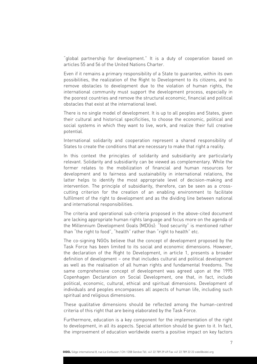"global partnership for development." It is a duty of cooperation based on articles 55 and 56 of the United Nations Charter.

Even if it remains a primary responsibility of a State to guarantee, within its own possibilities, the realization of the Right to Development to its citizens, and to remove obstacles to development due to the violation of human rights, the international community must support the development process, especially in the poorest countries and remove the structural economic, financial and political obstacles that exist at the international level.

There is no single model of development. It is up to all peoples and States, given their cultural and historical specificities, to choose the economic, political and social systems in which they want to live, work, and realize their full creative potential.

International solidarity and cooperation represent a shared responsibility of States to create the conditions that are necessary to make that right a reality.

In this context the principles of solidarity and subsidiarity are particularly relevant. Solidarity and subsidiarity can be viewed as complementary. While the former relates to the mobilization of financial and human resources for development and to fairness and sustainability in international relations, the latter helps to identify the most appropriate level of decision-making and intervention. The principle of subsidiarity, therefore, can be seen as a crosscutting criterion for the creation of an enabling environment to facilitate fulfilment of the right to development and as the dividing line between national and international responsibilities.

The criteria and operational sub-criteria proposed in the above-cited document are lacking appropriate human rights language and focus more on the agenda of the Millennium Development Goals (MDGs): "food security" is mentioned rather than "the right to food", "health" rather than "right to health" etc.

The co-signing NGOs believe that the concept of development proposed by the Task Force has been limited to its social and economic dimensions. However, the declaration of the Right to Development, in article 1, presents a broader definition of development – one that includes cultural and political development as well as the realisation of all human rights and fundamental freedoms. The same comprehensive concept of development was agreed upon at the 1995 Copenhagen Declaration on Social Development, one that, in fact, include political, economic, cultural, ethical and spiritual dimensions. Development of individuals and peoples encompasses all aspects of human life, including such spiritual and religious dimensions.

These qualitative dimensions should be reflected among the human-centred criteria of this right that are being elaborated by the Task Force.

Furthermore, education is a key component for the implementation of the right to development, in all its aspects. Special attention should be given to it. In fact, the improvement of education worldwide exerts a positive impact on key factors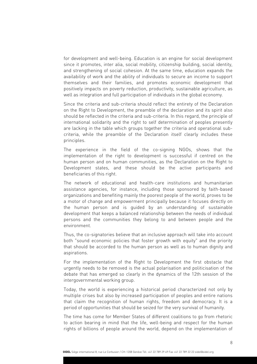for development and well-being. Education is an engine for social development since it promotes, inter alia, social mobility, citizenship building, social identity, and strengthening of social cohesion. At the same time, education expands the availability of work and the ability of individuals to secure an income to support themselves and their families, and promotes economic development that positively impacts on poverty reduction, productivity, sustainable agriculture, as well as integration and full participation of individuals in the global economy.

Since the criteria and sub-criteria should reflect the entirety of the Declaration on the Right to Development, the preamble of the declaration and its spirit also should be reflected in the criteria and sub-criteria. In this regard, the principle of international solidarity and the right to self determination of peoples presently are lacking in the table which groups together the criteria and operational subcriteria, while the preamble of the Declaration itself clearly includes these principles.

The experience in the field of the co-signing NGOs, shows that the implementation of the right to development is successful if centred on the human person and on human communities, as the Declaration on the Right to Development states, and these should be the active participants and beneficiaries of this right.

The network of educational and health-care institutions and humanitarian assistance agencies, for instance, including those sponsored by faith-based organizations and benefiting mainly the poorest people of the world, proves to be a motor of change and empowerment principally because it focuses directly on the human person and is guided by an understanding of sustainable development that keeps a balanced relationship between the needs of individual persons and the communities they belong to and between people and the environment.

Thus, the co-signatories believe that an inclusive approach will take into account both "sound economic policies that foster growth with equity" and the priority that should be accorded to the human person as well as to human dignity and aspirations.

For the implementation of the Right to Development the first obstacle that urgently needs to be removed is the actual polarisation and politicisation of the debate that has emerged so clearly in the dynamics of the 12th session of the intergovernmental working group.

Today, the world is experiencing a historical period characterized not only by multiple crises but also by increased participation of peoples and entire nations that claim the recognition of human rights, freedom and democracy. It is a period of opportunities that should be seized for the very survival of humanity.

The time has come for Member States of different coalitions to go from rhetoric to action bearing in mind that the life, well-being and respect for the human rights of billions of people around the world, depend on the implementation of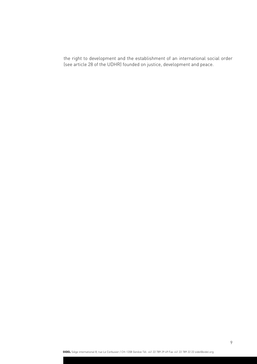the right to development and the establishment of an international social order (see article 28 of the UDHR) founded on justice, development and peace.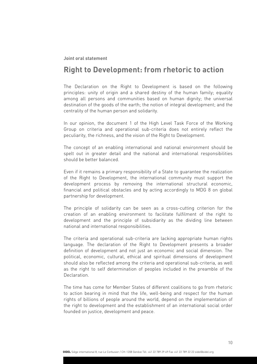# **Right to Development: from rhetoric to action**

The Declaration on the Right to Development is based on the following principles: unity of origin and a shared destiny of the human family; equality among all persons and communities based on human dignity; the universal destination of the goods of the earth; the notion of integral development; and the centrality of the human person and solidarity.

In our opinion, the document 1 of the High Level Task Force of the Working Group on criteria and operational sub-criteria does not entirely reflect the peculiarity, the richness, and the vision of the Right to Development.

The concept of an enabling international and national environment should be spelt out in greater detail and the national and international responsibilities should be better balanced.

Even if it remains a primary responsibility of a State to guarantee the realization of the Right to Development, the international community must support the development process by removing the international structural economic, financial and political obstacles and by acting accordingly to MDG 8 on global partnership for development.

The principle of solidarity can be seen as a cross-cutting criterion for the creation of an enabling environment to facilitate fulfilment of the right to development and the principle of subsidiarity as the dividing line between national and international responsibilities.

The criteria and operational sub-criteria are lacking appropriate human rights language. The declaration of the Right to Development presents a broader definition of development and not just an economic and social dimension. The political, economic, cultural, ethical and spiritual dimensions of development should also be reflected among the criteria and operational sub-criteria, as well as the right to self determination of peoples included in the preamble of the Declaration.

The time has come for Member States of different coalitions to go from rhetoric to action bearing in mind that the life, well-being and respect for the human rights of billions of people around the world, depend on the implementation of the right to development and the establishment of an international social order founded on justice, development and peace.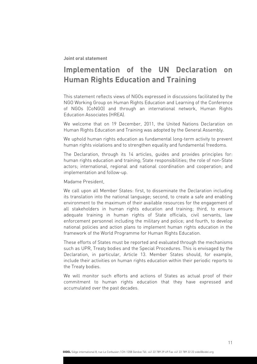# **Implementation of the UN Declaration on Human Rights Education and Training**

This statement reflects views of NGOs expressed in discussions facilitated by the NGO Working Group on Human Rights Education and Learning of the Conference of NGOs (CoNGO) and through an international network, Human Rights Education Associates (HREA).

We welcome that on 19 December, 2011, the United Nations Declaration on Human Rights Education and Training was adopted by the General Assembly.

We uphold human rights education as fundamental long-term activity to prevent human rights violations and to strengthen equality and fundamental freedoms.

The Declaration, through its 14 articles, guides and provides principles for: human rights education and training; State responsibilities; the role of non-State actors; international, regional and national coordination and cooperation; and implementation and follow-up.

Madame President,

We call upon all Member States: first, to disseminate the Declaration including its translation into the national language; second, to create a safe and enabling environment to the maximum of their available resources for the engagement of all stakeholders in human rights education and training; third, to ensure adequate training in human rights of State officials, civil servants, law enforcement personnel including the military and police; and fourth, to develop national policies and action plans to implement human rights education in the framework of the World Programme for Human Rights Education.

These efforts of States must be reported and evaluated through the mechanisms such as UPR, Treaty bodies and the Special Procedures. This is envisaged by the Declaration, in particular, Article 13. Member States should, for example, include their activities on human rights education within their periodic reports to the Treaty bodies.

We will monitor such efforts and actions of States as actual proof of their commitment to human rights education that they have expressed and accumulated over the past decades.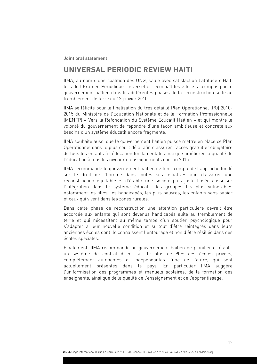### **UNIVERSAL PERIODIC REVIEW HAITI**

IIMA, au nom d'une coalition des ONG, salue avec satisfaction l'attitude d'Haïti lors de l'Examen Périodique Universel et reconnaît les efforts accomplis par le gouvernement haïtien dans les différentes phases de la reconstruction suite au tremblement de terre du 12 janvier 2010.

IIMA se félicite pour la finalisation du très détaillé Plan Opérationnel (PO) 2010- 2015 du Ministère de l'Éducation Nationale et de la Formation Professionnelle (MENFP) « Vers la Refondation du Système Éducatif Haïtien » et qui montre la volonté du gouvernement de répondre d'une façon ambitieuse et concrète aux besoins d'un système éducatif encore fragmenté.

IIMA souhaite aussi que le gouvernement haïtien puisse mettre en place ce Plan Opérationnel dans le plus court délai afin d'assurer l'accès gratuit et obligatoire de tous les enfants à l'éducation fondamentale ainsi que améliorer la qualité de l'éducation à tous les niveaux d'enseignements d'ici au 2015.

IIMA recommande le gouvernement haïtien de tenir compte de l'approche fondé sur le droit de l'homme dans toutes ses initiatives afin d'assurer une reconstruction équitable et d'établir une société plus juste basée aussi sur l'intégration dans le système éducatif des groupes les plus vulnérables notamment les filles, les handicapés, les plus pauvres, les enfants sans papier et ceux qui vivent dans les zones rurales.

Dans cette phase de reconstruction une attention particulière devrait être accordée aux enfants qui sont devenus handicapés suite au tremblement de terre et qui nécessitent au même temps d'un soutien psychologique pour s'adapter à leur nouvelle condition et surtout d'être réintégrés dans leurs anciennes écoles dont ils connaissent l'entourage et non d'être résiliés dans des écoles spéciales.

Finalement, IIMA recommande au gouvernement haïtien de planifier et établir un système de control direct sur le plus de 90% des écoles privées, complètement autonomes et indépendantes l'une de l'autre, qui sont actuellement présentes dans le pays. En particulier IIMA suggère l'uniformisation des programmes et manuels scolaires, de la formation des enseignants, ainsi que de la qualité de l'enseignement et de l'apprentissage.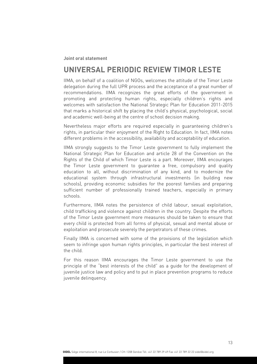### **UNIVERSAL PERIODIC REVIEW TIMOR LESTE**

IIMA, on behalf of a coalition of NGOs, welcomes the attitude of the Timor Leste delegation during the full UPR process and the acceptance of a great number of recommendations. IIMA recognizes the great efforts of the government in promoting and protecting human rights, especially children's rights and welcomes with satisfaction the National Strategic Plan for Education 2011-2015 that marks a historical shift by placing the child's physical, psychological, social and academic well-being at the centre of school decision making.

Nevertheless major efforts are required especially in guaranteeing children's rights, in particular their enjoyment of the Right to Education. In fact, IIMA notes different problems in the accessibility, availability and acceptability of education.

IIMA strongly suggests to the Timor Leste government to fully implement the National Strategic Plan for Education and article 28 of the Convention on the Rights of the Child of which Timor Leste is a part. Moreover, IIMA encourages the Timor Leste government to guarantee a free, compulsory and quality education to all, without discrimination of any kind, and to modernize the educational system through infrastructural investments (in building new schools), providing economic subsidies for the poorest families and preparing sufficient number of professionally trained teachers, especially in primary schools.

Furthermore, IIMA notes the persistence of child labour, sexual exploitation, child trafficking and violence against children in the country. Despite the efforts of the Timor Leste government more measures should be taken to ensure that every child is protected from all forms of physical, sexual and mental abuse or exploitation and prosecute severely the perpetrators of these crimes.

Finally IIMA is concerned with some of the provisions of the legislation which seem to infringe upon human rights principles, in particular the best interest of the child.

For this reason IIMA encourages the Timor Leste government to use the principle of the "best interests of the child" as a guide for the development of juvenile justice law and policy and to put in place prevention programs to reduce juvenile delinquency.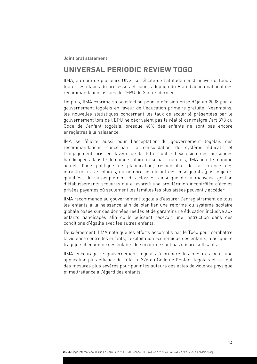### **UNIVERSAL PERIODIC REVIEW TOGO**

IIMA, au nom de plusieurs ONG, se félicite de l'attitude constructive du Togo à toutes les étapes du processus et pour l'adoption du Plan d'action national des recommandations issues de l'EPU du 2 mars dernier.

De plus, IIMA exprime sa satisfaction pour la décision prise déjà en 2008 par le gouvernement togolais en faveur de l'éducation primaire gratuite. Néanmoins, les nouvelles statistiques concernant les taux de scolarité présentées par le gouvernement lors de l'EPU ne décrivaient pas la réalité car malgré l'art 373 du Code de l'enfant togolais, presque 40% des enfants ne sont pas encore enregistrés à la naissance.

IMA se félicite aussi pour l'acceptation du gouvernement togolais des recommandations concernant la consolidation du système éducatif et l'engagement pris en faveur de la lutte contre l'exclusion des personnes handicapées dans le domaine scolaire et social. Toutefois, IIMA note le manque actuel d'une politique de planification, responsable de la carence des infrastructures scolaires, du nombre insuffisant des enseignants (pas toujours qualifiés), du surpeuplement des classes, ainsi que de la mauvaise gestion d'établissements scolaires qui a favorisé une prolifération incontrôlée d'écoles privées payantes où seulement les familles les plus aisées peuvent y accéder.

IIMA recommande au gouvernement togolais d'assurer l'enregistrement de tous les enfants à la naissance afin de planifier une reforme du système scolaire globale basée sur des données réelles et de garantir une éducation inclusive aux enfants handicapés afin qu'ils puissent recevoir une instruction dans des conditions d'égalité avec les autres enfants.

Deuxièmement, IIMA note que les efforts accomplis par le Togo pour combattre la violence contre les enfants, l'exploitation économique des enfants, ainsi que le tragique phénomène des enfants dit sorcier ne sont pas encore suffisants.

IIMA encourage le gouvernement togolais à prendre les mesures pour une application plus efficace de la loi n. 376 du Code de l'Enfant togolais et surtout des mesures plus sévères pour punir les auteurs des actes de violence physique et maltraitance à l'égard des enfants.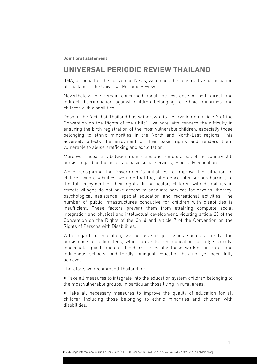### **UNIVERSAL PERIODIC REVIEW THAILAND**

IIMA, on behalf of the co-signing NGOs, welcomes the constructive participation of Thailand at the Universal Periodic Review.

Nevertheless, we remain concerned about the existence of both direct and indirect discrimination against children belonging to ethnic minorities and children with disabilities.

Despite the fact that Thailand has withdrawn its reservation on article 7 of the Convention on the Rights of the Child1, we note with concern the difficulty in ensuring the birth registration of the most vulnerable children, especially those belonging to ethnic minorities in the North and North-East regions. This adversely affects the enjoyment of their basic rights and renders them vulnerable to abuse, trafficking and exploitation.

Moreover, disparities between main cities and remote areas of the country still persist regarding the access to basic social services, especially education.

While recognizing the Government's initiatives to improve the situation of children with disabilities, we note that they often encounter serious barriers to the full enjoyment of their rights. In particular, children with disabilities in remote villages do not have access to adequate services for physical therapy, psychological assistance, special education and recreational activities. The number of public infrastructures conducive for children with disabilities is insufficient. These factors prevent them from attaining complete social integration and physical and intellectual development, violating article 23 of the Convention on the Rights of the Child and article 7 of the Convention on the Rights of Persons with Disabilities.

With regard to education, we perceive major issues such as: firstly, the persistence of tuition fees, which prevents free education for all; secondly, inadequate qualification of teachers, especially those working in rural and indigenous schools; and thirdly, bilingual education has not yet been fully achieved.

Therefore, we recommend Thailand to:

• Take all measures to integrate into the education system children belonging to the most vulnerable groups, in particular those living in rural areas;

• Take all necessary measures to improve the quality of education for all children including those belonging to ethnic minorities and children with disabilities.